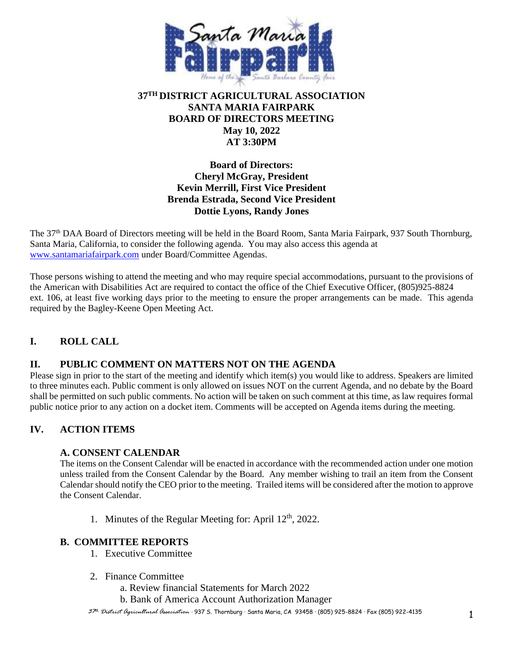

## **37TH DISTRICT AGRICULTURAL ASSOCIATION SANTA MARIA FAIRPARK BOARD OF DIRECTORS MEETING May 10, 2022 AT 3:30PM**

## **Board of Directors: Cheryl McGray, President Kevin Merrill, First Vice President Brenda Estrada, Second Vice President Dottie Lyons, Randy Jones**

The 37th DAA Board of Directors meeting will be held in the Board Room, Santa Maria Fairpark, 937 South Thornburg, Santa Maria, California, to consider the following agenda. You may also access this agenda at [www.santamariafairpark.com](http://www.santamariafairpark.com/) under Board/Committee Agendas.

Those persons wishing to attend the meeting and who may require special accommodations, pursuant to the provisions of the American with Disabilities Act are required to contact the office of the Chief Executive Officer, (805)925-8824 ext. 106, at least five working days prior to the meeting to ensure the proper arrangements can be made. This agenda required by the Bagley-Keene Open Meeting Act.

# **I. ROLL CALL**

## **II. PUBLIC COMMENT ON MATTERS NOT ON THE AGENDA**

Please sign in prior to the start of the meeting and identify which item(s) you would like to address. Speakers are limited to three minutes each. Public comment is only allowed on issues NOT on the current Agenda, and no debate by the Board shall be permitted on such public comments. No action will be taken on such comment at this time, as law requires formal public notice prior to any action on a docket item. Comments will be accepted on Agenda items during the meeting.

## **IV. ACTION ITEMS**

#### **A. CONSENT CALENDAR**

The items on the Consent Calendar will be enacted in accordance with the recommended action under one motion unless trailed from the Consent Calendar by the Board. Any member wishing to trail an item from the Consent Calendar should notify the CEO prior to the meeting. Trailed items will be considered after the motion to approve the Consent Calendar.

1. Minutes of the Regular Meeting for: April 12<sup>th</sup>, 2022.

#### **B. COMMITTEE REPORTS**

- 1. Executive Committee
- 2. Finance Committee
	- a. Review financial Statements for March 2022
	- b. Bank of America Account Authorization Manager

*<sup>37</sup>th District Agricultural Association* · 937 S. Thornburg · Santa Maria, CA 93458 · (805) 925-8824 · Fax (805) 922-4135 1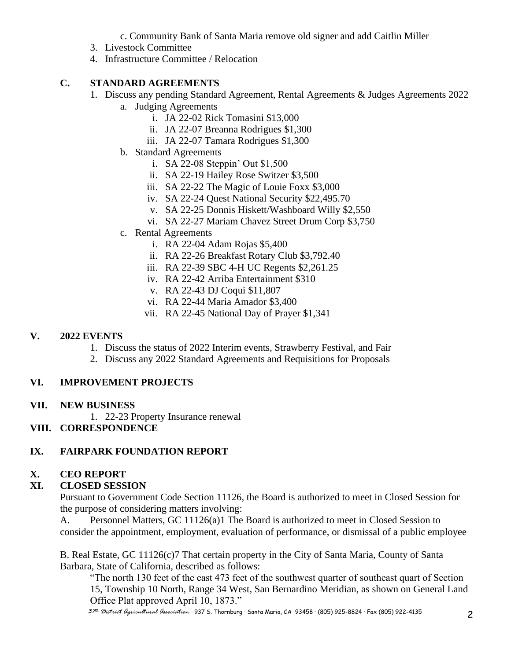c. Community Bank of Santa Maria remove old signer and add Caitlin Miller

- 3. Livestock Committee
- 4. Infrastructure Committee / Relocation

## **C. STANDARD AGREEMENTS**

- 1. Discuss any pending Standard Agreement, Rental Agreements & Judges Agreements 2022
	- a. Judging Agreements
		- i. JA 22-02 Rick Tomasini \$13,000
		- ii. JA 22-07 Breanna Rodrigues \$1,300
		- iii. JA 22-07 Tamara Rodrigues \$1,300
	- b. Standard Agreements
		- i. SA 22-08 Steppin' Out \$1,500
		- ii. SA 22-19 Hailey Rose Switzer \$3,500
		- iii. SA 22-22 The Magic of Louie Foxx \$3,000
		- iv. SA 22-24 Quest National Security \$22,495.70
		- v. SA 22-25 Donnis Hiskett/Washboard Willy \$2,550
		- vi. SA 22-27 Mariam Chavez Street Drum Corp \$3,750
	- c. Rental Agreements
		- i. RA 22-04 Adam Rojas \$5,400
		- ii. RA 22-26 Breakfast Rotary Club \$3,792.40
		- iii. RA 22-39 SBC 4-H UC Regents \$2,261.25
		- iv. RA 22-42 Arriba Entertainment \$310
		- v. RA 22-43 DJ Coqui \$11,807
		- vi. RA 22-44 Maria Amador \$3,400
		- vii. RA 22-45 National Day of Prayer \$1,341

# **V. 2022 EVENTS**

- 1. Discuss the status of 2022 Interim events, Strawberry Festival, and Fair
- 2. Discuss any 2022 Standard Agreements and Requisitions for Proposals

## **VI. IMPROVEMENT PROJECTS**

## **VII. NEW BUSINESS**

1. 22-23 Property Insurance renewal

## **VIII. CORRESPONDENCE**

# **IX. FAIRPARK FOUNDATION REPORT**

# **X. CEO REPORT**

# **XI. CLOSED SESSION**

Pursuant to Government Code Section 11126, the Board is authorized to meet in Closed Session for the purpose of considering matters involving:

A. Personnel Matters, GC 11126(a)1 The Board is authorized to meet in Closed Session to consider the appointment, employment, evaluation of performance, or dismissal of a public employee

B. Real Estate, GC 11126(c)7 That certain property in the City of Santa Maria, County of Santa Barbara, State of California, described as follows:

"The north 130 feet of the east 473 feet of the southwest quarter of southeast quart of Section 15, Township 10 North, Range 34 West, San Bernardino Meridian, as shown on General Land Office Plat approved April 10, 1873."

*<sup>37</sup>th District Agricultural Association* · 937 S. Thornburg · Santa Maria, CA 93458 · (805) 925-8824 · Fax (805) 922-4135 2